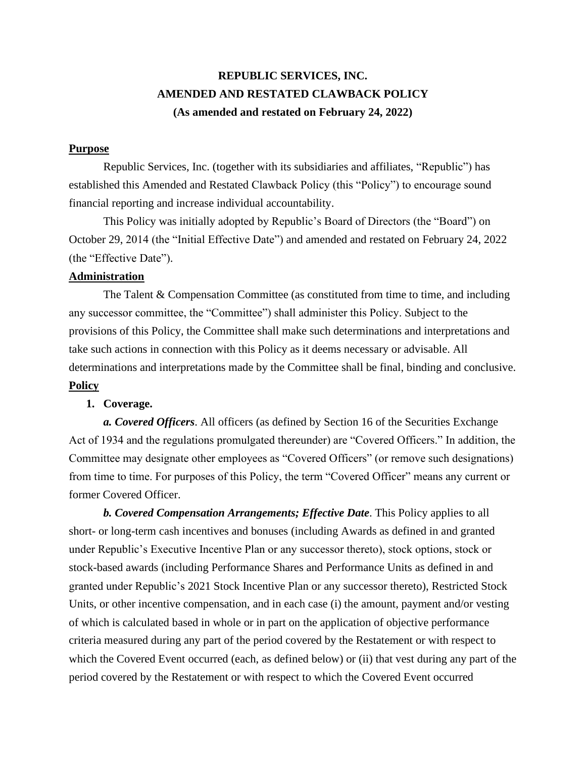# **REPUBLIC SERVICES, INC. AMENDED AND RESTATED CLAWBACK POLICY (As amended and restated on February 24, 2022)**

# **Purpose**

Republic Services, Inc. (together with its subsidiaries and affiliates, "Republic") has established this Amended and Restated Clawback Policy (this "Policy") to encourage sound financial reporting and increase individual accountability.

This Policy was initially adopted by Republic's Board of Directors (the "Board") on October 29, 2014 (the "Initial Effective Date") and amended and restated on February 24, 2022 (the "Effective Date").

## **Administration**

The Talent & Compensation Committee (as constituted from time to time, and including any successor committee, the "Committee") shall administer this Policy. Subject to the provisions of this Policy, the Committee shall make such determinations and interpretations and take such actions in connection with this Policy as it deems necessary or advisable. All determinations and interpretations made by the Committee shall be final, binding and conclusive. **Policy**

## **1. Coverage.**

*a. Covered Officers*. All officers (as defined by Section 16 of the Securities Exchange Act of 1934 and the regulations promulgated thereunder) are "Covered Officers." In addition, the Committee may designate other employees as "Covered Officers" (or remove such designations) from time to time. For purposes of this Policy, the term "Covered Officer" means any current or former Covered Officer.

*b. Covered Compensation Arrangements; Effective Date*. This Policy applies to all short- or long-term cash incentives and bonuses (including Awards as defined in and granted under Republic's Executive Incentive Plan or any successor thereto), stock options, stock or stock-based awards (including Performance Shares and Performance Units as defined in and granted under Republic's 2021 Stock Incentive Plan or any successor thereto), Restricted Stock Units, or other incentive compensation, and in each case (i) the amount, payment and/or vesting of which is calculated based in whole or in part on the application of objective performance criteria measured during any part of the period covered by the Restatement or with respect to which the Covered Event occurred (each, as defined below) or (ii) that vest during any part of the period covered by the Restatement or with respect to which the Covered Event occurred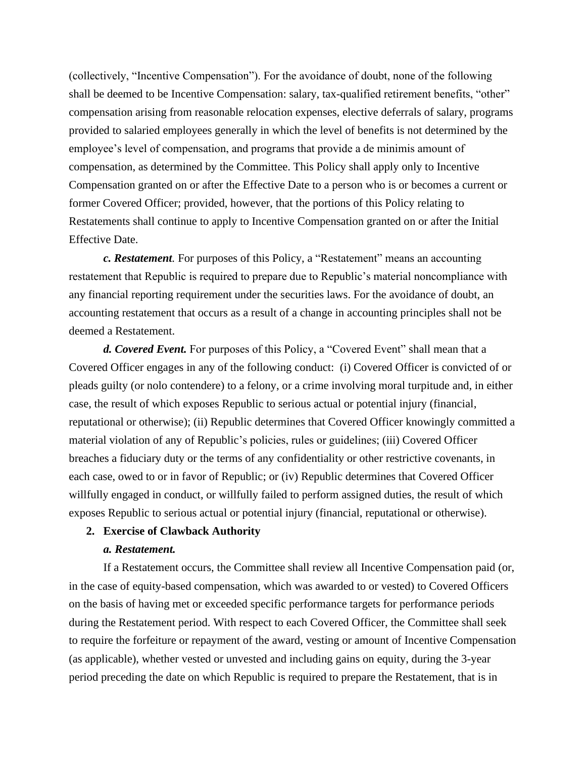(collectively, "Incentive Compensation"). For the avoidance of doubt, none of the following shall be deemed to be Incentive Compensation: salary, tax-qualified retirement benefits, "other" compensation arising from reasonable relocation expenses, elective deferrals of salary, programs provided to salaried employees generally in which the level of benefits is not determined by the employee's level of compensation, and programs that provide a de minimis amount of compensation, as determined by the Committee. This Policy shall apply only to Incentive Compensation granted on or after the Effective Date to a person who is or becomes a current or former Covered Officer; provided, however, that the portions of this Policy relating to Restatements shall continue to apply to Incentive Compensation granted on or after the Initial Effective Date.

*c. Restatement.* For purposes of this Policy, a "Restatement" means an accounting restatement that Republic is required to prepare due to Republic's material noncompliance with any financial reporting requirement under the securities laws. For the avoidance of doubt, an accounting restatement that occurs as a result of a change in accounting principles shall not be deemed a Restatement.

*d. Covered Event.* For purposes of this Policy, a "Covered Event" shall mean that a Covered Officer engages in any of the following conduct: (i) Covered Officer is convicted of or pleads guilty (or nolo contendere) to a felony, or a crime involving moral turpitude and, in either case, the result of which exposes Republic to serious actual or potential injury (financial, reputational or otherwise); (ii) Republic determines that Covered Officer knowingly committed a material violation of any of Republic's policies, rules or guidelines; (iii) Covered Officer breaches a fiduciary duty or the terms of any confidentiality or other restrictive covenants, in each case, owed to or in favor of Republic; or (iv) Republic determines that Covered Officer willfully engaged in conduct, or willfully failed to perform assigned duties, the result of which exposes Republic to serious actual or potential injury (financial, reputational or otherwise).

## **2. Exercise of Clawback Authority**

## *a. Restatement.*

If a Restatement occurs, the Committee shall review all Incentive Compensation paid (or, in the case of equity-based compensation, which was awarded to or vested) to Covered Officers on the basis of having met or exceeded specific performance targets for performance periods during the Restatement period. With respect to each Covered Officer, the Committee shall seek to require the forfeiture or repayment of the award, vesting or amount of Incentive Compensation (as applicable), whether vested or unvested and including gains on equity, during the 3-year period preceding the date on which Republic is required to prepare the Restatement, that is in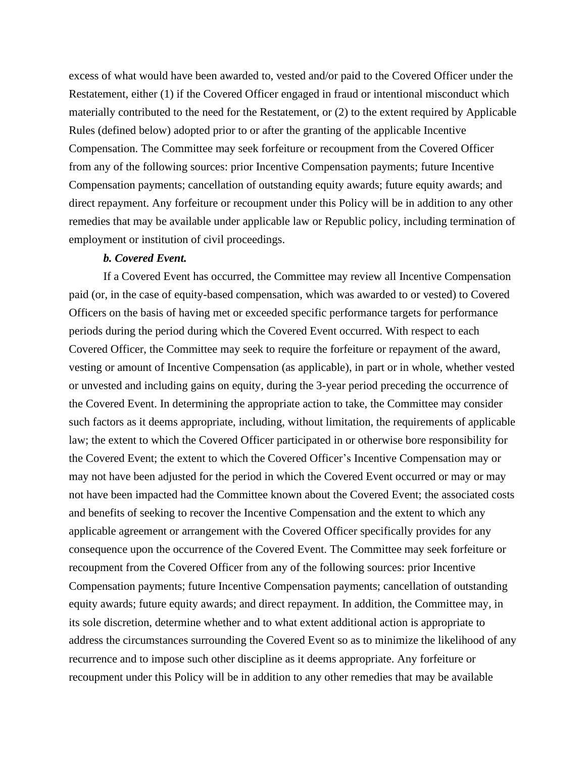excess of what would have been awarded to, vested and/or paid to the Covered Officer under the Restatement, either (1) if the Covered Officer engaged in fraud or intentional misconduct which materially contributed to the need for the Restatement, or (2) to the extent required by Applicable Rules (defined below) adopted prior to or after the granting of the applicable Incentive Compensation. The Committee may seek forfeiture or recoupment from the Covered Officer from any of the following sources: prior Incentive Compensation payments; future Incentive Compensation payments; cancellation of outstanding equity awards; future equity awards; and direct repayment. Any forfeiture or recoupment under this Policy will be in addition to any other remedies that may be available under applicable law or Republic policy, including termination of employment or institution of civil proceedings.

#### *b. Covered Event.*

If a Covered Event has occurred, the Committee may review all Incentive Compensation paid (or, in the case of equity-based compensation, which was awarded to or vested) to Covered Officers on the basis of having met or exceeded specific performance targets for performance periods during the period during which the Covered Event occurred. With respect to each Covered Officer, the Committee may seek to require the forfeiture or repayment of the award, vesting or amount of Incentive Compensation (as applicable), in part or in whole, whether vested or unvested and including gains on equity, during the 3-year period preceding the occurrence of the Covered Event. In determining the appropriate action to take, the Committee may consider such factors as it deems appropriate, including, without limitation, the requirements of applicable law; the extent to which the Covered Officer participated in or otherwise bore responsibility for the Covered Event; the extent to which the Covered Officer's Incentive Compensation may or may not have been adjusted for the period in which the Covered Event occurred or may or may not have been impacted had the Committee known about the Covered Event; the associated costs and benefits of seeking to recover the Incentive Compensation and the extent to which any applicable agreement or arrangement with the Covered Officer specifically provides for any consequence upon the occurrence of the Covered Event. The Committee may seek forfeiture or recoupment from the Covered Officer from any of the following sources: prior Incentive Compensation payments; future Incentive Compensation payments; cancellation of outstanding equity awards; future equity awards; and direct repayment. In addition, the Committee may, in its sole discretion, determine whether and to what extent additional action is appropriate to address the circumstances surrounding the Covered Event so as to minimize the likelihood of any recurrence and to impose such other discipline as it deems appropriate. Any forfeiture or recoupment under this Policy will be in addition to any other remedies that may be available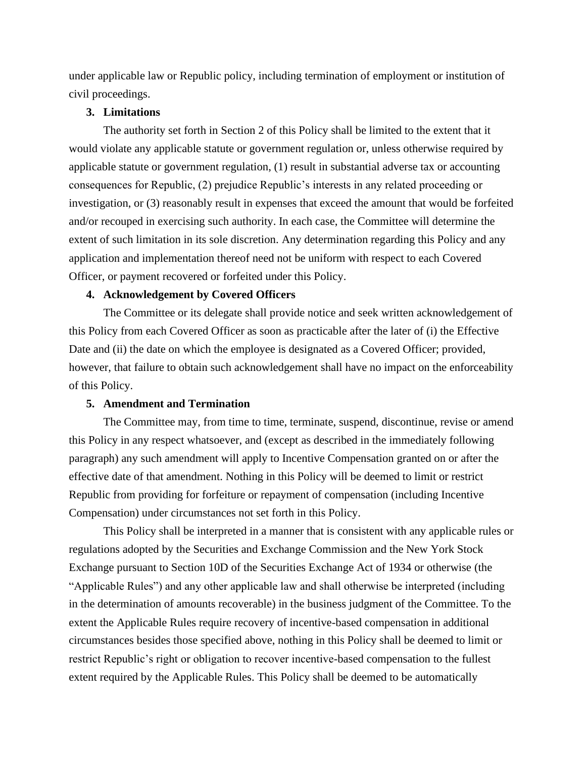under applicable law or Republic policy, including termination of employment or institution of civil proceedings.

## **3. Limitations**

The authority set forth in Section 2 of this Policy shall be limited to the extent that it would violate any applicable statute or government regulation or, unless otherwise required by applicable statute or government regulation, (1) result in substantial adverse tax or accounting consequences for Republic, (2) prejudice Republic's interests in any related proceeding or investigation, or (3) reasonably result in expenses that exceed the amount that would be forfeited and/or recouped in exercising such authority. In each case, the Committee will determine the extent of such limitation in its sole discretion. Any determination regarding this Policy and any application and implementation thereof need not be uniform with respect to each Covered Officer, or payment recovered or forfeited under this Policy.

## **4. Acknowledgement by Covered Officers**

The Committee or its delegate shall provide notice and seek written acknowledgement of this Policy from each Covered Officer as soon as practicable after the later of (i) the Effective Date and (ii) the date on which the employee is designated as a Covered Officer; provided, however, that failure to obtain such acknowledgement shall have no impact on the enforceability of this Policy.

#### **5. Amendment and Termination**

The Committee may, from time to time, terminate, suspend, discontinue, revise or amend this Policy in any respect whatsoever, and (except as described in the immediately following paragraph) any such amendment will apply to Incentive Compensation granted on or after the effective date of that amendment. Nothing in this Policy will be deemed to limit or restrict Republic from providing for forfeiture or repayment of compensation (including Incentive Compensation) under circumstances not set forth in this Policy.

This Policy shall be interpreted in a manner that is consistent with any applicable rules or regulations adopted by the Securities and Exchange Commission and the New York Stock Exchange pursuant to Section 10D of the Securities Exchange Act of 1934 or otherwise (the "Applicable Rules") and any other applicable law and shall otherwise be interpreted (including in the determination of amounts recoverable) in the business judgment of the Committee. To the extent the Applicable Rules require recovery of incentive-based compensation in additional circumstances besides those specified above, nothing in this Policy shall be deemed to limit or restrict Republic's right or obligation to recover incentive-based compensation to the fullest extent required by the Applicable Rules. This Policy shall be deemed to be automatically